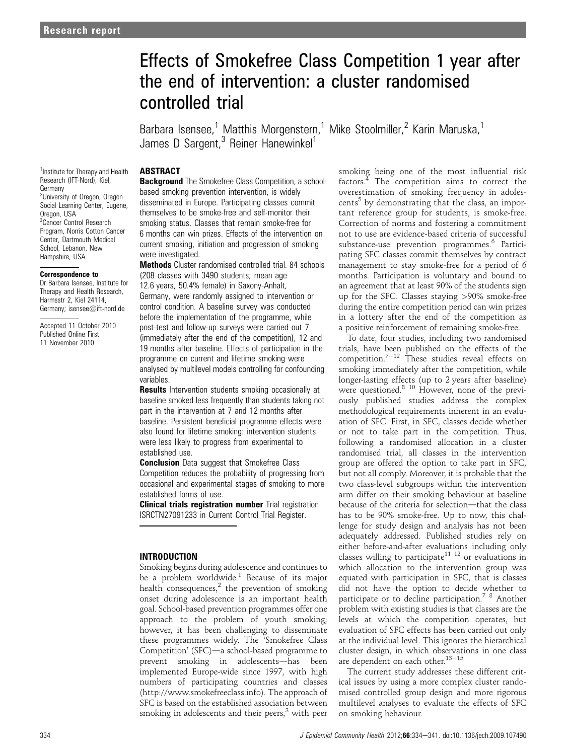# Effects of Smokefree Class Competition 1 year after the end of intervention: a cluster randomised controlled trial

Barbara Isensee,<sup>1</sup> Matthis Morgenstern,<sup>1</sup> Mike Stoolmiller,<sup>2</sup> Karin Maruska,<sup>1</sup> James D Sargent,<sup>3</sup> Reiner Hanewinkel<sup>1</sup>

# ABSTRACT

<sup>1</sup> Institute for Therapy and Health Research (IFT-Nord), Kiel, Germany <sup>2</sup>University of Oregon, Oregon Social Learning Center, Eugene, Oregon, USA <sup>3</sup> Cancer Control Research Program, Norris Cotton Cancer Center, Dartmouth Medical School, Lebanon, New Hampshire, USA

#### Correspondence to

Dr Barbara Isensee, Institute for Therapy and Health Research, Harmsstr 2, Kiel 24114, Germany; isensee@ift-nord.de

Accepted 11 October 2010 Published Online First 11 November 2010

**Background** The Smokefree Class Competition, a schoolbased smoking prevention intervention, is widely disseminated in Europe. Participating classes commit themselves to be smoke-free and self-monitor their smoking status. Classes that remain smoke-free for 6 months can win prizes. Effects of the intervention on current smoking, initiation and progression of smoking were investigated.

Methods Cluster randomised controlled trial. 84 schools (208 classes with 3490 students; mean age 12.6 years, 50.4% female) in Saxony-Anhalt, Germany, were randomly assigned to intervention or control condition. A baseline survey was conducted before the implementation of the programme, while post-test and follow-up surveys were carried out 7 (immediately after the end of the competition), 12 and 19 months after baseline. Effects of participation in the programme on current and lifetime smoking were analysed by multilevel models controlling for confounding variables.

**Results** Intervention students smoking occasionally at baseline smoked less frequently than students taking not part in the intervention at 7 and 12 months after baseline. Persistent beneficial programme effects were also found for lifetime smoking: intervention students were less likely to progress from experimental to established use.

**Conclusion** Data suggest that Smokefree Class Competition reduces the probability of progressing from occasional and experimental stages of smoking to more established forms of use.

**Clinical trials registration number** Trial registration ISRCTN27091233 in Current Control Trial Register.

# INTRODUCTION

Smoking begins during adolescence and continues to be a problem worldwide.<sup>1</sup> Because of its major health consequences, $2$  the prevention of smoking onset during adolescence is an important health goal. School-based prevention programmes offer one approach to the problem of youth smoking; however, it has been challenging to disseminate these programmes widely. The 'Smokefree Class Competition' (SFC)-a school-based programme to prevent smoking in adolescents-has been implemented Europe-wide since 1997, with high numbers of participating countries and classes (http://www.smokefreeclass.info). The approach of SFC is based on the established association between smoking in adolescents and their peers, $3$  with peer smoking being one of the most influential risk factors.<sup>4</sup> The competition aims to correct the overestimation of smoking frequency in adolescents<sup>5</sup> by demonstrating that the class, an important reference group for students, is smoke-free. Correction of norms and fostering a commitment not to use are evidence-based criteria of successful substance-use prevention programmes.<sup>6</sup> Participating SFC classes commit themselves by contract management to stay smoke-free for a period of 6 months. Participation is voluntary and bound to an agreement that at least 90% of the students sign up for the SFC. Classes staying >90% smoke-free during the entire competition period can win prizes in a lottery after the end of the competition as a positive reinforcement of remaining smoke-free.

To date, four studies, including two randomised trials, have been published on the effects of the competition.<sup>7–12</sup> These studies reveal effects on smoking immediately after the competition, while longer-lasting effects (up to 2 years after baseline) were questioned.<sup>8 10</sup> However, none of the previously published studies address the complex methodological requirements inherent in an evaluation of SFC. First, in SFC, classes decide whether or not to take part in the competition. Thus, following a randomised allocation in a cluster randomised trial, all classes in the intervention group are offered the option to take part in SFC, but not all comply. Moreover, it is probable that the two class-level subgroups within the intervention arm differ on their smoking behaviour at baseline because of the criteria for selection-that the class has to be 90% smoke-free. Up to now, this challenge for study design and analysis has not been adequately addressed. Published studies rely on either before-and-after evaluations including only classes willing to participate<sup>11 12</sup> or evaluations in which allocation to the intervention group was equated with participation in SFC, that is classes did not have the option to decide whether to participate or to decline participation.<sup>7</sup><sup>8</sup> Another problem with existing studies is that classes are the levels at which the competition operates, but evaluation of SFC effects has been carried out only at the individual level. This ignores the hierarchical cluster design, in which observations in one class<br>are dependent on each other.<sup>13—15</sup>

The current study addresses these different critical issues by using a more complex cluster randomised controlled group design and more rigorous multilevel analyses to evaluate the effects of SFC on smoking behaviour.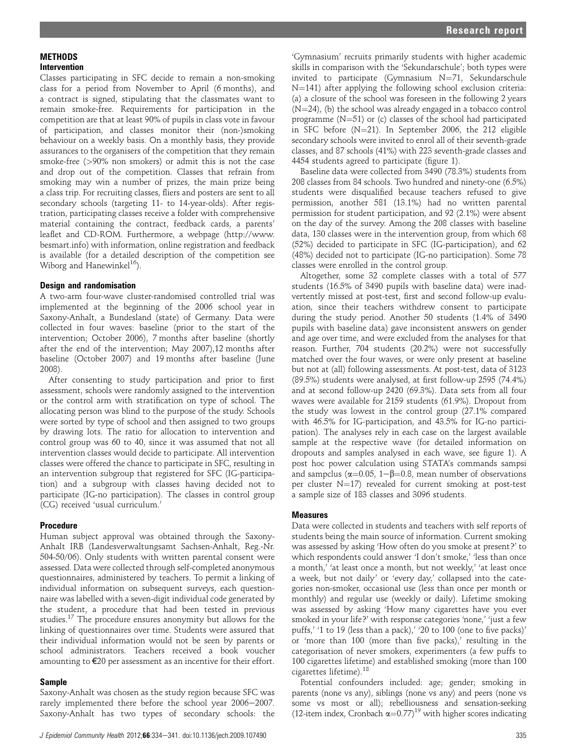## **MFTHODS** Intervention

Classes participating in SFC decide to remain a non-smoking class for a period from November to April (6 months), and a contract is signed, stipulating that the classmates want to remain smoke-free. Requirements for participation in the competition are that at least 90% of pupils in class vote in favour of participation, and classes monitor their (non-)smoking behaviour on a weekly basis. On a monthly basis, they provide assurances to the organisers of the competition that they remain smoke-free (>90% non smokers) or admit this is not the case and drop out of the competition. Classes that refrain from smoking may win a number of prizes, the main prize being a class trip. For recruiting classes, fliers and posters are sent to all secondary schools (targeting 11- to 14-year-olds). After registration, participating classes receive a folder with comprehensive material containing the contract, feedback cards, a parents' leaflet and CD-ROM. Furthermore, a webpage (http://www. besmart.info) with information, online registration and feedback is available (for a detailed description of the competition see Wiborg and Hanewinkel<sup>16</sup>).

## Design and randomisation

A two-arm four-wave cluster-randomised controlled trial was implemented at the beginning of the 2006 school year in Saxony-Anhalt, a Bundesland (state) of Germany. Data were collected in four waves: baseline (prior to the start of the intervention; October 2006), 7 months after baseline (shortly after the end of the intervention; May 2007),12 months after baseline (October 2007) and 19 months after baseline (June 2008).

After consenting to study participation and prior to first assessment, schools were randomly assigned to the intervention or the control arm with stratification on type of school. The allocating person was blind to the purpose of the study. Schools were sorted by type of school and then assigned to two groups by drawing lots. The ratio for allocation to intervention and control group was 60 to 40, since it was assumed that not all intervention classes would decide to participate. All intervention classes were offered the chance to participate in SFC, resulting in an intervention subgroup that registered for SFC (IG-participation) and a subgroup with classes having decided not to participate (IG-no participation). The classes in control group (CG) received 'usual curriculum.'

## Procedure

Human subject approval was obtained through the Saxony-Anhalt IRB (Landesverwaltungsamt Sachsen-Anhalt, Reg.-Nr. 504-50/06). Only students with written parental consent were assessed. Data were collected through self-completed anonymous questionnaires, administered by teachers. To permit a linking of individual information on subsequent surveys, each questionnaire was labelled with a seven-digit individual code generated by the student, a procedure that had been tested in previous studies.<sup>17</sup> The procedure ensures anonymity but allows for the linking of questionnaires over time. Students were assured that their individual information would not be seen by parents or school administrators. Teachers received a book voucher amounting to €20 per assessment as an incentive for their effort.

#### Sample

Saxony-Anhalt was chosen as the study region because SFC was rarely implemented there before the school year 2006-2007. Saxony-Anhalt has two types of secondary schools: the 'Gymnasium' recruits primarily students with higher academic skills in comparison with the 'Sekundarschule'; both types were invited to participate (Gymnasium  $N=71$ , Sekundarschule  $N=141$ ) after applying the following school exclusion criteria: (a) a closure of the school was foreseen in the following 2 years  $(N=24)$ , (b) the school was already engaged in a tobacco control programme  $(N=51)$  or (c) classes of the school had participated in SFC before  $(N=21)$ . In September 2006, the 212 eligible secondary schools were invited to enrol all of their seventh-grade classes, and 87 schools (41%) with 223 seventh-grade classes and 4454 students agreed to participate (figure 1).

Baseline data were collected from 3490 (78.3%) students from 208 classes from 84 schools. Two hundred and ninety-one (6.5%) students were disqualified because teachers refused to give permission, another 581 (13.1%) had no written parental permission for student participation, and 92 (2.1%) were absent on the day of the survey. Among the 208 classes with baseline data, 130 classes were in the intervention group, from which 68 (52%) decided to participate in SFC (IG-participation), and 62 (48%) decided not to participate (IG-no participation). Some 78 classes were enrolled in the control group.

Altogether, some 32 complete classes with a total of 577 students (16.5% of 3490 pupils with baseline data) were inadvertently missed at post-test, first and second follow-up evaluation, since their teachers withdrew consent to participate during the study period. Another 50 students (1.4% of 3490 pupils with baseline data) gave inconsistent answers on gender and age over time, and were excluded from the analyses for that reason. Further, 704 students (20.2%) were not successfully matched over the four waves, or were only present at baseline but not at (all) following assessments. At post-test, data of 3123 (89.5%) students were analysed, at first follow-up 2595 (74.4%) and at second follow-up 2420 (69.3%). Data sets from all four waves were available for 2159 students (61.9%). Dropout from the study was lowest in the control group (27.1% compared with 46.5% for IG-participation, and 43.5% for IG-no participation). The analyses rely in each case on the largest available sample at the respective wave (for detailed information on dropouts and samples analysed in each wave, see figure 1). A post hoc power calculation using STATA's commands sampsi and sampclus ( $\alpha$ =0.05, 1- $\beta$ =0.8, mean number of observations per cluster  $N=17$ ) revealed for current smoking at post-test a sample size of 183 classes and 3096 students.

#### Measures

Data were collected in students and teachers with self reports of students being the main source of information. Current smoking was assessed by asking 'How often do you smoke at present?' to which respondents could answer 'I don't smoke,' 'less than once a month,' 'at least once a month, but not weekly,' 'at least once a week, but not daily' or 'every day,' collapsed into the categories non-smoker, occasional use (less than once per month or monthly) and regular use (weekly or daily). Lifetime smoking was assessed by asking 'How many cigarettes have you ever smoked in your life?' with response categories 'none,' 'just a few puffs,' '1 to 19 (less than a pack),' '20 to 100 (one to five packs)' or 'more than 100 (more than five packs),' resulting in the categorisation of never smokers, experimenters (a few puffs to 100 cigarettes lifetime) and established smoking (more than 100 cigarettes lifetime). $^{18}$ 

Potential confounders included: age; gender; smoking in parents (none vs any), siblings (none vs any) and peers (none vs some vs most or all); rebelliousness and sensation-seeking (12-item index, Cronbach  $\alpha=0.77$ )<sup>19</sup> with higher scores indicating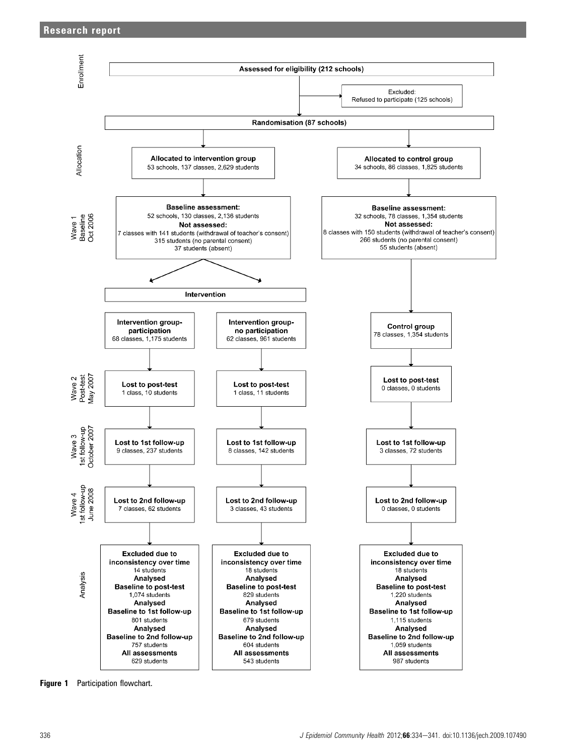

Figure 1 Participation flowchart.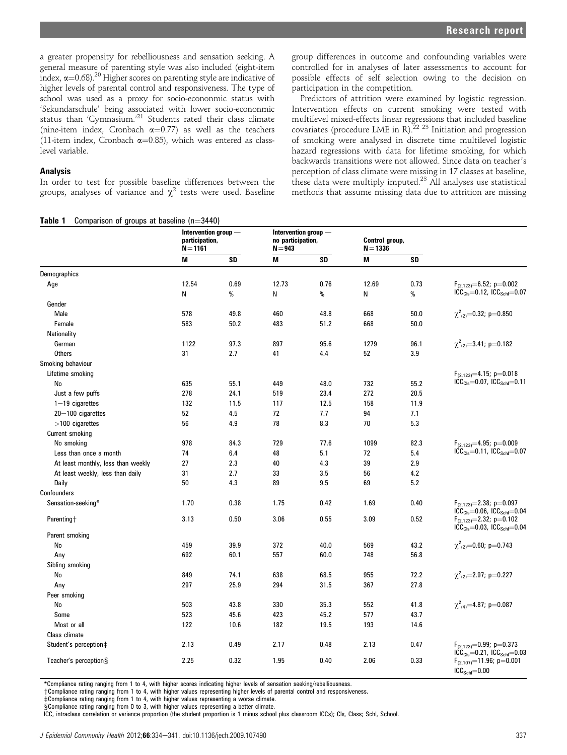a greater propensity for rebelliousness and sensation seeking. A general measure of parenting style was also included (eight-item index,  $\alpha = 0.68$ )<sup>20</sup> Higher scores on parenting style are indicative of higher levels of parental control and responsiveness. The type of school was used as a proxy for socio-econonmic status with 'Sekundarschule' being associated with lower socio-econonmic status than 'Gymnasium.'<sup>21</sup> Students rated their class climate (nine-item index, Cronbach  $\alpha=0.77$ ) as well as the teachers (11-item index, Cronbach  $\alpha$ =0.85), which was entered as classlevel variable.

## **Analysis**

In order to test for possible baseline differences between the groups, analyses of variance and  $\chi^2$  tests were used. Baseline

 $T<sub>z</sub>LL<sub>z</sub>$  1 Comparison of groups at baseline  $(n, 2440)$ 

group differences in outcome and confounding variables were controlled for in analyses of later assessments to account for possible effects of self selection owing to the decision on participation in the competition.

Predictors of attrition were examined by logistic regression. Intervention effects on current smoking were tested with multilevel mixed-effects linear regressions that included baseline covariates (procedure LME in R). $^{22}$  <sup>23</sup> Initiation and progression of smoking were analysed in discrete time multilevel logistic hazard regressions with data for lifetime smoking, for which backwards transitions were not allowed. Since data on teacher's perception of class climate were missing in 17 classes at baseline, these data were multiply imputed.<sup>23</sup> All analyses use statistical methods that assume missing data due to attrition are missing

|                                    | Intervention group $-$<br>participation,<br>$N = 1161$ |      | Intervention group $-$<br>no participation,<br>$N = 943$ |      | Control group,<br>$N = 1336$ |      |                                                                                    |
|------------------------------------|--------------------------------------------------------|------|----------------------------------------------------------|------|------------------------------|------|------------------------------------------------------------------------------------|
|                                    | M                                                      | SD   | M                                                        | SD   | M                            | SD   |                                                                                    |
| Demographics                       |                                                        |      |                                                          |      |                              |      |                                                                                    |
| Age                                | 12.54                                                  | 0.69 | 12.73                                                    | 0.76 | 12.69                        | 0.73 |                                                                                    |
|                                    | N                                                      | %    | N                                                        | $\%$ | N                            | %    | $F_{(2,123)}=6.52; p=0.002$<br>ICC <sub>Cls</sub> =0.12, ICC <sub>Schl</sub> =0.07 |
| Gender                             |                                                        |      |                                                          |      |                              |      |                                                                                    |
| Male                               | 578                                                    | 49.8 | 460                                                      | 48.8 | 668                          | 50.0 | $\chi^2_{(2)} = 0.32$ ; p=0.850                                                    |
| Female                             | 583                                                    | 50.2 | 483                                                      | 51.2 | 668                          | 50.0 |                                                                                    |
| Nationality                        |                                                        |      |                                                          |      |                              |      |                                                                                    |
| German                             | 1122                                                   | 97.3 | 897                                                      | 95.6 | 1279                         | 96.1 | $\chi^2_{(2)} = 3.41; p = 0.182$                                                   |
| <b>Others</b>                      | 31                                                     | 2.7  | 41                                                       | 4.4  | 52                           | 3.9  |                                                                                    |
| Smoking behaviour                  |                                                        |      |                                                          |      |                              |      |                                                                                    |
| Lifetime smoking                   |                                                        |      |                                                          |      |                              |      | $F_{(2.123)} = 4.15$ ; p=0.018                                                     |
| No                                 | 635                                                    | 55.1 | 449                                                      | 48.0 | 732                          | 55.2 | $ICC_{Cls} = 0.07$ , $ICC_{Sch} = 0.11$                                            |
| Just a few puffs                   | 278                                                    | 24.1 | 519                                                      | 23.4 | 272                          | 20.5 |                                                                                    |
| $1-19$ cigarettes                  | 132                                                    | 11.5 | 117                                                      | 12.5 | 158                          | 11.9 |                                                                                    |
| $20 - 100$ cigarettes              | 52                                                     | 4.5  | 72                                                       | 7.7  | 94                           | 7.1  |                                                                                    |
| $>100$ cigarettes                  | 56                                                     | 4.9  | 78                                                       | 8.3  | 70                           | 5.3  |                                                                                    |
| Current smoking                    |                                                        |      |                                                          |      |                              |      |                                                                                    |
| No smoking                         | 978                                                    | 84.3 | 729                                                      | 77.6 | 1099                         | 82.3 | $F_{(2,123)} = 4.95; p = 0.009$                                                    |
| Less than once a month             | 74                                                     | 6.4  | 48                                                       | 5.1  | 72                           | 5.4  | $ICC_{Cls} = 0.11$ , $ICC_{Sch} = 0.07$                                            |
| At least monthly, less than weekly | 27                                                     | 2.3  | 40                                                       | 4.3  | 39                           | 2.9  |                                                                                    |
| At least weekly, less than daily   | 31                                                     | 2.7  | 33                                                       | 3.5  | 56                           | 4.2  |                                                                                    |
| Daily                              | 50                                                     | 4.3  | 89                                                       | 9.5  | 69                           | 5.2  |                                                                                    |
| Confounders                        |                                                        |      |                                                          |      |                              |      |                                                                                    |
| Sensation-seeking*                 | 1.70                                                   | 0.38 | 1.75                                                     | 0.42 | 1.69                         | 0.40 | $F_{(2,123)} = 2.38; p = 0.097$<br>$ICC_{Cls} = 0.06$ , $ICC_{Sch} = 0.04$         |
| Parenting+                         | 3.13                                                   | 0.50 | 3.06                                                     | 0.55 | 3.09                         | 0.52 | $F_{(2.123)} = 2.32; p = 0.102$                                                    |
| Parent smoking                     |                                                        |      |                                                          |      |                              |      | $ICC_{Cls} = 0.03$ , $ICC_{Sch} = 0.04$                                            |
| No                                 | 459                                                    | 39.9 | 372                                                      | 40.0 | 569                          | 43.2 | $\chi^2_{(2)} = 0.60; p = 0.743$                                                   |
| Any                                | 692                                                    | 60.1 | 557                                                      | 60.0 | 748                          | 56.8 |                                                                                    |
| Sibling smoking                    |                                                        |      |                                                          |      |                              |      |                                                                                    |
| No                                 | 849                                                    | 74.1 | 638                                                      | 68.5 | 955                          | 72.2 | $\chi^2_{(2)} = 2.97; p = 0.227$                                                   |
| Any                                | 297                                                    | 25.9 | 294                                                      | 31.5 | 367                          | 27.8 |                                                                                    |
| Peer smoking                       |                                                        |      |                                                          |      |                              |      |                                                                                    |
| No                                 | 503                                                    | 43.8 | 330                                                      | 35.3 | 552                          | 41.8 | $\chi^2_{(4)} = 4.87; p = 0.087$                                                   |
| Some                               | 523                                                    | 45.6 | 423                                                      | 45.2 | 577                          | 43.7 |                                                                                    |
| Most or all                        | 122                                                    | 10.6 | 182                                                      | 19.5 | 193                          | 14.6 |                                                                                    |
| Class climate                      |                                                        |      |                                                          |      |                              |      |                                                                                    |
| Student's perception‡              | 2.13                                                   | 0.49 | 2.17                                                     | 0.48 | 2.13                         | 0.47 | $F_{(2.123)} = 0.99; p = 0.373$<br>$ICC_{Cls} = 0.21$ , $ICC_{Sch} = 0.03$         |
| Teacher's perception§              | 2.25                                                   | 0.32 | 1.95                                                     | 0.40 | 2.06                         | 0.33 | $F_{(2.107)} = 11.96; p=0.001$<br>$ICCSchl=0.00$                                   |

\*Compliance rating ranging from 1 to 4, with higher scores indicating higher levels of sensation seeking/rebelliousness.

yCompliance rating ranging from 1 to 4, with higher values representing higher levels of parental control and responsiveness.

zCompliance rating ranging from 1 to 4, with higher values representing a worse climate.

§Compliance rating ranging from 0 to 3, with higher values representing a better climate.

ICC, intraclass correlation or variance proportion (the student proportion is 1 minus school plus classroom ICCs); Cls, Class; Schl, School.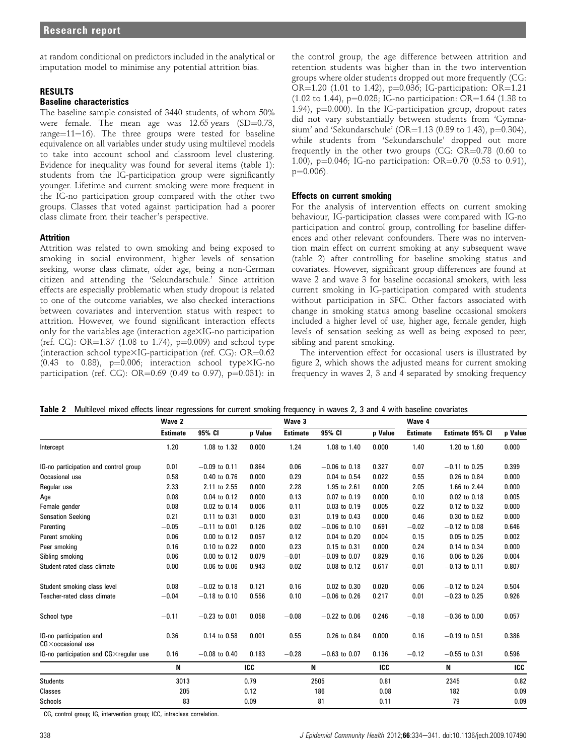at random conditional on predictors included in the analytical or imputation model to minimise any potential attrition bias.

## RESULTS

#### Baseline characteristics

The baseline sample consisted of 3440 students, of whom 50% were female. The mean age was  $12.65$  years  $(SD=0.73, 0.75)$ range= $11-16$ ). The three groups were tested for baseline equivalence on all variables under study using multilevel models to take into account school and classroom level clustering. Evidence for inequality was found for several items (table 1): students from the IG-participation group were significantly younger. Lifetime and current smoking were more frequent in the IG-no participation group compared with the other two groups. Classes that voted against participation had a poorer class climate from their teacher's perspective.

#### Attrition

Attrition was related to own smoking and being exposed to smoking in social environment, higher levels of sensation seeking, worse class climate, older age, being a non-German citizen and attending the 'Sekundarschule.' Since attrition effects are especially problematic when study dropout is related to one of the outcome variables, we also checked interactions between covariates and intervention status with respect to attrition. However, we found significant interaction effects only for the variables age (interaction age $\times$ IG-no participation (ref. CG): OR= $1.37$  (1.08 to 1.74), p=0.009) and school type (interaction school type $\times$ IG-participation (ref. CG): OR=0.62 (0.43 to 0.88),  $p=0.006$ ; interaction school type $\times$ IG-no participation (ref. CG): OR=0.69 (0.49 to 0.97),  $p=0.031$ ): in

the control group, the age difference between attrition and retention students was higher than in the two intervention groups where older students dropped out more frequently (CG: OR= $1.20$  (1.01 to 1.42), p=0.036; IG-participation: OR= $1.21$ .  $(1.02 \text{ to } 1.44)$ , p=0.028; IG-no participation: OR=1.64 (1.38 to 1.94),  $p=0.000$ ). In the IG-participation group, dropout rates did not vary substantially between students from 'Gymnasium' and 'Sekundarschule' (OR=1.13 (0.89 to 1.43), p=0.304), while students from 'Sekundarschule' dropped out more frequently in the other two groups (CG:  $OR=0.78$  (0.60 to 1.00), p=0.046; IG-no participation: OR=0.70 (0.53 to 0.91),  $p=0.006$ ).

#### Effects on current smoking

For the analysis of intervention effects on current smoking behaviour, IG-participation classes were compared with IG-no participation and control group, controlling for baseline differences and other relevant confounders. There was no intervention main effect on current smoking at any subsequent wave (table 2) after controlling for baseline smoking status and covariates. However, significant group differences are found at wave 2 and wave 3 for baseline occasional smokers, with less current smoking in IG-participation compared with students without participation in SFC. Other factors associated with change in smoking status among baseline occasional smokers included a higher level of use, higher age, female gender, high levels of sensation seeking as well as being exposed to peer, sibling and parent smoking.

The intervention effect for occasional users is illustrated by figure 2, which shows the adjusted means for current smoking frequency in waves 2, 3 and 4 separated by smoking frequency

|  | Table 2 Multilevel mixed effects linear regressions for current smoking frequency in waves 2, 3 and 4 with baseline covariates |  |  |  |  |  |  |  |  |  |  |  |
|--|--------------------------------------------------------------------------------------------------------------------------------|--|--|--|--|--|--|--|--|--|--|--|
|--|--------------------------------------------------------------------------------------------------------------------------------|--|--|--|--|--|--|--|--|--|--|--|

|                                                       | Wave 2          |                 |            | Wave 3          |                  |         | Wave 4          |                 |            |
|-------------------------------------------------------|-----------------|-----------------|------------|-----------------|------------------|---------|-----------------|-----------------|------------|
|                                                       | <b>Estimate</b> | 95% CI          | p Value    | <b>Estimate</b> | 95% CI           | p Value | <b>Estimate</b> | Estimate 95% CI | p Value    |
| Intercept                                             | 1.20            | 1.08 to 1.32    | 0.000      | 1.24            | 1.08 to 1.40     | 0.000   | 1.40            | 1.20 to 1.60    | 0.000      |
| IG-no participation and control group                 | 0.01            | $-0.09$ to 0.11 | 0.864      | 0.06            | $-0.06$ to 0.18  | 0.327   | 0.07            | $-0.11$ to 0.25 | 0.399      |
| Occasional use                                        | 0.58            | 0.40 to 0.76    | 0.000      | 0.29            | 0.04 to 0.54     | 0.022   | 0.55            | 0.26 to 0.84    | 0.000      |
| Regular use                                           | 2.33            | 2.11 to 2.55    | 0.000      | 2.28            | 1.95 to 2.61     | 0.000   | 2.05            | 1.66 to 2.44    | 0.000      |
| Age                                                   | 0.08            | 0.04 to 0.12    | 0.000      | 0.13            | 0.07 to 0.19     | 0.000   | 0.10            | 0.02 to 0.18    | 0.005      |
| Female gender                                         | 0.08            | 0.02 to 0.14    | 0.006      | 0.11            | $0.03$ to $0.19$ | 0.005   | 0.22            | 0.12 to 0.32    | 0.000      |
| <b>Sensation Seeking</b>                              | 0.21            | 0.11 to 0.31    | 0.000      | 0.31            | 0.19 to 0.43     | 0.000   | 0.46            | 0.30 to 0.62    | 0.000      |
| Parenting                                             | $-0.05$         | $-0.11$ to 0.01 | 0.126      | 0.02            | $-0.06$ to 0.10  | 0.691   | $-0.02$         | $-0.12$ to 0.08 | 0.646      |
| Parent smoking                                        | 0.06            | 0.00 to 0.12    | 0.057      | 0.12            | 0.04 to 0.20     | 0.004   | 0.15            | 0.05 to 0.25    | 0.002      |
| Peer smoking                                          | 0.16            | 0.10 to 0.22    | 0.000      | 0.23            | 0.15 to 0.31     | 0.000   | 0.24            | 0.14 to 0.34    | 0.000      |
| Sibling smoking                                       | 0.06            | 0.00 to 0.12    | 0.079      | $-0.01$         | $-0.09$ to 0.07  | 0.829   | 0.16            | 0.06 to 0.26    | 0.004      |
| Student-rated class climate                           | 0.00            | $-0.06$ to 0.06 | 0.943      | 0.02            | $-0.08$ to 0.12  | 0.617   | $-0.01$         | $-0.13$ to 0.11 | 0.807      |
| Student smoking class level                           | 0.08            | $-0.02$ to 0.18 | 0.121      | 0.16            | 0.02 to 0.30     | 0.020   | 0.06            | $-0.12$ to 0.24 | 0.504      |
| Teacher-rated class climate                           | $-0.04$         | $-0.18$ to 0.10 | 0.556      | 0.10            | $-0.06$ to 0.26  | 0.217   | 0.01            | $-0.23$ to 0.25 | 0.926      |
| School type                                           | $-0.11$         | $-0.23$ to 0.01 | 0.058      | $-0.08$         | $-0.22$ to 0.06  | 0.246   | $-0.18$         | $-0.36$ to 0.00 | 0.057      |
| IG-no participation and<br>$CG \times$ occasional use | 0.36            | 0.14 to 0.58    | 0.001      | 0.55            | 0.26 to 0.84     | 0.000   | 0.16            | $-0.19$ to 0.51 | 0.386      |
| IG-no participation and CGX regular use               | 0.16            | $-0.08$ to 0.40 | 0.183      | $-0.28$         | $-0.63$ to 0.07  | 0.136   | $-0.12$         | $-0.55$ to 0.31 | 0.596      |
|                                                       | N               |                 | <b>ICC</b> |                 | N                | ICC     |                 | N               | <b>ICC</b> |
| <b>Students</b>                                       | 3013            |                 | 0.79       |                 | 2505             | 0.81    |                 | 2345            | 0.82       |
| Classes                                               | 205             |                 | 0.12       |                 | 186              | 0.08    |                 | 182             | 0.09       |
| Schools                                               | 83              |                 | 0.09       |                 | 81               | 0.11    |                 | 79              | 0.09       |

CG, control group; IG, intervention group; ICC, intraclass correlation.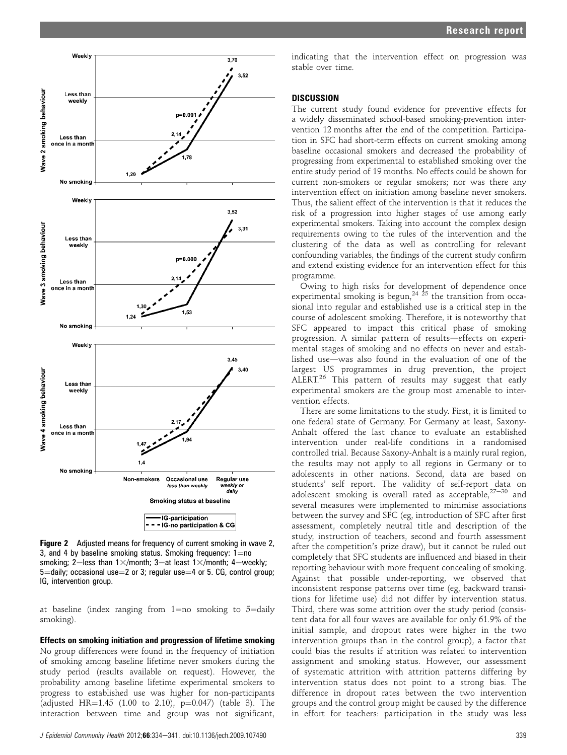

Figure 2 Adjusted means for frequency of current smoking in wave 2, 3, and 4 by baseline smoking status. Smoking frequency:  $1=$ no smoking; 2=less than 1 $\times$ /month; 3=at least 1 $\times$ /month; 4=weekly;  $5 =$ daily; occasional use $= 2$  or 3; regular use $= 4$  or 5. CG, control group; IG, intervention group.

at baseline (index ranging from  $1=$ no smoking to  $5=$ daily smoking).

Effects on smoking initiation and progression of lifetime smoking No group differences were found in the frequency of initiation of smoking among baseline lifetime never smokers during the study period (results available on request). However, the probability among baseline lifetime experimental smokers to progress to established use was higher for non-participants (adjusted HR= $1.45$  (1.00 to 2.10), p=0.047) (table 3). The interaction between time and group was not significant,

indicating that the intervention effect on progression was stable over time.

#### **DISCUSSION**

The current study found evidence for preventive effects for a widely disseminated school-based smoking-prevention intervention 12 months after the end of the competition. Participation in SFC had short-term effects on current smoking among baseline occasional smokers and decreased the probability of progressing from experimental to established smoking over the entire study period of 19 months. No effects could be shown for current non-smokers or regular smokers; nor was there any intervention effect on initiation among baseline never smokers. Thus, the salient effect of the intervention is that it reduces the risk of a progression into higher stages of use among early experimental smokers. Taking into account the complex design requirements owing to the rules of the intervention and the clustering of the data as well as controlling for relevant confounding variables, the findings of the current study confirm and extend existing evidence for an intervention effect for this programme.

Owing to high risks for development of dependence once experimental smoking is begun,<sup>24  $\frac{1}{25}$ </sup> the transition from occasional into regular and established use is a critical step in the course of adolescent smoking. Therefore, it is noteworthy that SFC appeared to impact this critical phase of smoking progression. A similar pattern of results-effects on experimental stages of smoking and no effects on never and established use-was also found in the evaluation of one of the largest US programmes in drug prevention, the project ALERT.<sup>26</sup> This pattern of results may suggest that early experimental smokers are the group most amenable to intervention effects.

There are some limitations to the study. First, it is limited to one federal state of Germany. For Germany at least, Saxony-Anhalt offered the last chance to evaluate an established intervention under real-life conditions in a randomised controlled trial. Because Saxony-Anhalt is a mainly rural region, the results may not apply to all regions in Germany or to adolescents in other nations. Second, data are based on students' self report. The validity of self-report data on adolescent smoking is overall rated as acceptable,  $27-30$  and several measures were implemented to minimise associations between the survey and SFC (eg, introduction of SFC after first assessment, completely neutral title and description of the study, instruction of teachers, second and fourth assessment after the competition's prize draw), but it cannot be ruled out completely that SFC students are influenced and biased in their reporting behaviour with more frequent concealing of smoking. Against that possible under-reporting, we observed that inconsistent response patterns over time (eg, backward transitions for lifetime use) did not differ by intervention status. Third, there was some attrition over the study period (consistent data for all four waves are available for only 61.9% of the initial sample, and dropout rates were higher in the two intervention groups than in the control group), a factor that could bias the results if attrition was related to intervention assignment and smoking status. However, our assessment of systematic attrition with attrition patterns differing by intervention status does not point to a strong bias. The difference in dropout rates between the two intervention groups and the control group might be caused by the difference in effort for teachers: participation in the study was less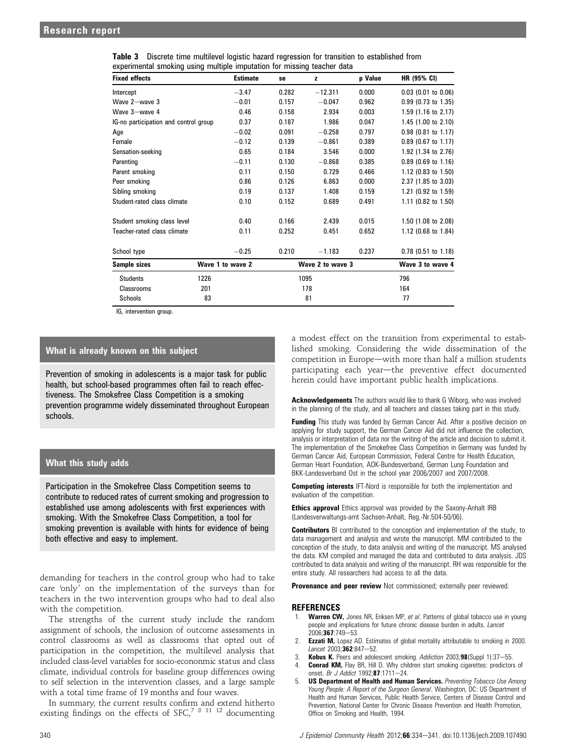|  |  | <b>Table 3</b> Discrete time multilevel logistic hazard regression for transition to established from |  |  |
|--|--|-------------------------------------------------------------------------------------------------------|--|--|
|  |  | experimental smoking using multiple imputation for missing teacher data                               |  |  |

| <b>Fixed effects</b>                  | <b>Estimate</b>  | se    | z                | p Value | <b>HR (95% CI)</b>             |
|---------------------------------------|------------------|-------|------------------|---------|--------------------------------|
| Intercept                             | $-3.47$          | 0.282 | $-12.311$        | 0.000   | $0.03$ (0.01 to 0.06)          |
| Wave 2-wave 3                         | $-0.01$          | 0.157 | $-0.047$         | 0.962   | 0.99 (0.73 to 1.35)            |
| Wave 3-wave 4                         | 0.46             | 0.158 | 2.934            | 0.003   | $1.59$ (1.16 to 2.17)          |
| IG-no participation and control group | 0.37             | 0.187 | 1.986            | 0.047   | 1.45 $(1.00 \text{ to } 2.10)$ |
| Age                                   | $-0.02$          | 0.091 | $-0.258$         | 0.797   | $0.98$ (0.81 to 1.17)          |
| Female                                | $-0.12$          | 0.139 | $-0.861$         | 0.389   | $0.89$ (0.67 to 1.17)          |
| Sensation-seeking                     | 0.65             | 0.184 | 3.546            | 0.000   | 1.92 (1.34 to 2.76)            |
| Parenting                             | $-0.11$          | 0.130 | $-0.868$         | 0.385   | $0.89$ (0.69 to 1.16)          |
| Parent smoking                        | 0.11             | 0.150 | 0.729            | 0.466   | 1.12 (0.83 to 1.50)            |
| Peer smoking                          | 0.86             | 0.126 | 6.863            | 0.000   | 2.37 (1.85 to 3.03)            |
| Sibling smoking                       | 0.19             | 0.137 | 1.408            | 0.159   | 1.21 (0.92 to $1.59$ )         |
| Student-rated class climate           | 0.10             | 0.152 | 0.689            | 0.491   | 1.11 (0.82 to 1.50)            |
| Student smoking class level           | 0.40             | 0.166 | 2.439            | 0.015   | 1.50 (1.08 to 2.08)            |
| Teacher-rated class climate           | 0.11             | 0.252 | 0.451            | 0.652   | 1.12 (0.68 to 1.84)            |
| School type                           | $-0.25$          | 0.210 | $-1.183$         | 0.237   | $0.78$ (0.51 to 1.18)          |
| Sample sizes                          | Wave 1 to wave 2 |       | Wave 2 to wave 3 |         | Wave 3 to wave 4               |
| <b>Students</b>                       | 1226             |       | 1095             |         | 796                            |
| <b>Classrooms</b>                     | 201              |       | 178              |         | 164                            |
| Schools                               | 83               |       | 81               |         | 77                             |

IG, intervention group.

## What is already known on this subject

Prevention of smoking in adolescents is a major task for public health, but school-based programmes often fail to reach effectiveness. The Smokefree Class Competition is a smoking prevention programme widely disseminated throughout European schools.

## What this study adds

Participation in the Smokefree Class Competition seems to contribute to reduced rates of current smoking and progression to established use among adolescents with first experiences with smoking. With the Smokefree Class Competition, a tool for smoking prevention is available with hints for evidence of being both effective and easy to implement.

demanding for teachers in the control group who had to take care 'only' on the implementation of the surveys than for teachers in the two intervention groups who had to deal also with the competition.

The strengths of the current study include the random assignment of schools, the inclusion of outcome assessments in control classrooms as well as classrooms that opted out of participation in the competition, the multilevel analysis that included class-level variables for socio-econonmic status and class climate, individual controls for baseline group differences owing to self selection in the intervention classes, and a large sample with a total time frame of 19 months and four waves.

In summary, the current results confirm and extend hitherto existing findings on the effects of SFC,<sup>7 8 11 12</sup> documenting

a modest effect on the transition from experimental to established smoking. Considering the wide dissemination of the competition in Europe—with more than half a million students participating each year-the preventive effect documented herein could have important public health implications.

Acknowledgements The authors would like to thank G Wiborg, who was involved in the planning of the study, and all teachers and classes taking part in this study.

Funding This study was funded by German Cancer Aid. After a positive decision on applying for study support, the German Cancer Aid did not influence the collection, analysis or interpretation of data nor the writing of the article and decision to submit it. The implementation of the Smokefree Class Competition in Germany was funded by German Cancer Aid, European Commission, Federal Centre for Health Education, German Heart Foundation, AOK-Bundesverband, German Lung Foundation and BKK-Landesverband Ost in the school year 2006/2007 and 2007/2008.

Competing interests IFT-Nord is responsible for both the implementation and evaluation of the competition.

**Ethics approval** Ethics approval was provided by the Saxony-Anhalt IRB (Landesverwaltungs-amt Sachsen-Anhalt, Reg.-Nr.504-50/06).

Contributors BI contributed to the conception and implementation of the study, to data management and analysis and wrote the manuscript. MM contributed to the conception of the study, to data analysis and writing of the manuscript. MS analysed the data. KM compiled and managed the data and contributed to data analysis. JDS contributed to data analysis and writing of the manuscript. RH was responsible for the entire study. All researchers had access to all the data.

Provenance and peer review Not commissioned; externally peer reviewed.

#### REFERENCES

- 1. Warren CW, Jones NR, Eriksen MP, et al. Patterns of global tobacco use in young people and implications for future chronic disease burden in adults. Lancet 2006;367:749-53.
- 2. **Ezzati M,** Lopez AD. Estimates of global mortality attributable to smoking in 2000. Lancet  $2003:362:847-52$ .
- 3. Kobus K. Peers and adolescent smoking. Addiction 2003;98(Suppl 1):37-55.
- 4. **Conrad KM, Flay BR, Hill D. Why children start smoking cigarettes: predictors of** onset. Br J Addict 1992:87:1711-24.
- 5. **US Department of Health and Human Services.** Preventing Tobacco Use Among Young People: A Report of the Surgeon General. Washington, DC: US Department of Health and Human Services, Public Health Service, Centers of Disease Control and Prevention, National Center for Chronic Disease Prevention and Health Promotion, Office on Smoking and Health, 1994.